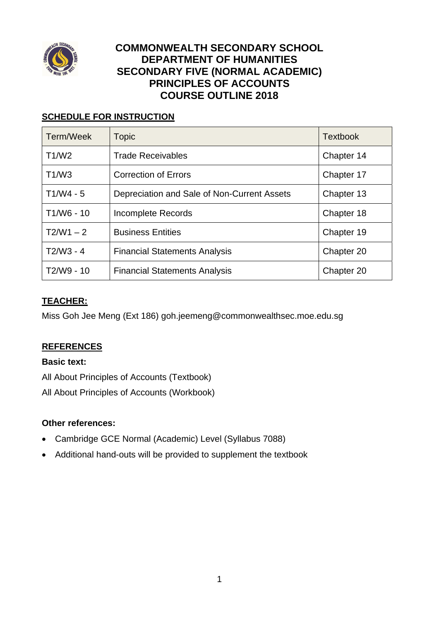

## **COMMONWEALTH SECONDARY SCHOOL DEPARTMENT OF HUMANITIES SECONDARY FIVE (NORMAL ACADEMIC) PRINCIPLES OF ACCOUNTS COURSE OUTLINE 2018**

## **SCHEDULE FOR INSTRUCTION**

| Term/Week    | <b>Topic</b>                                | <b>Textbook</b> |
|--------------|---------------------------------------------|-----------------|
| T1/W2        | <b>Trade Receivables</b>                    | Chapter 14      |
| T1/W3        | <b>Correction of Errors</b>                 | Chapter 17      |
| $T1/W4 - 5$  | Depreciation and Sale of Non-Current Assets | Chapter 13      |
| $T1/W6 - 10$ | Incomplete Records                          | Chapter 18      |
| $T2/W1 - 2$  | <b>Business Entities</b>                    | Chapter 19      |
| $T2/W3 - 4$  | <b>Financial Statements Analysis</b>        | Chapter 20      |
| T2/W9 - 10   | <b>Financial Statements Analysis</b>        | Chapter 20      |

### **TEACHER:**

Miss Goh Jee Meng (Ext 186) goh.jeemeng@commonwealthsec.moe.edu.sg

#### **REFERENCES**

#### **Basic text:**

All About Principles of Accounts (Textbook) All About Principles of Accounts (Workbook)

#### **Other references:**

- Cambridge GCE Normal (Academic) Level (Syllabus 7088)
- Additional hand-outs will be provided to supplement the textbook